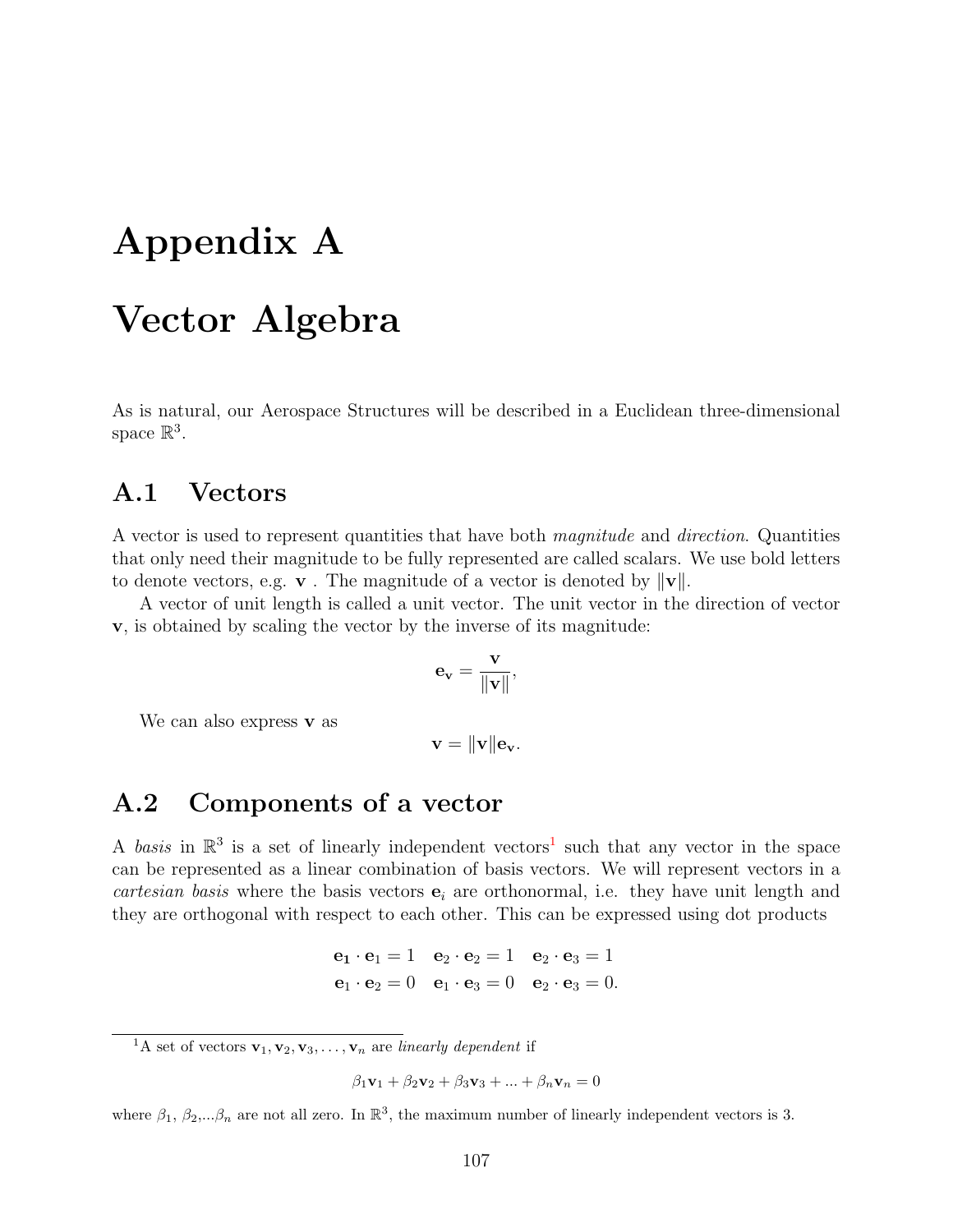# Appendix A

## Vector Algebra

As is natural, our Aerospace Structures will be described in a Euclidean three-dimensional space  $\mathbb{R}^3$ .

#### A.1 Vectors

A vector is used to represent quantities that have both magnitude and direction. Quantities that only need their magnitude to be fully represented are called scalars. We use bold letters to denote vectors, e.g. **v**. The magnitude of a vector is denoted by  $\|\mathbf{v}\|$ .

A vector of unit length is called a unit vector. The unit vector in the direction of vector v, is obtained by scaling the vector by the inverse of its magnitude:

$$
\mathbf{e}_{\mathbf{v}} = \frac{\mathbf{v}}{\|\mathbf{v}\|},
$$

We can also express  $\bf{v}$  as

 $\mathbf{v} = \|\mathbf{v}\| \mathbf{e}_{\mathbf{v}}.$ 

#### A.2 Components of a vector

A basis in  $\mathbb{R}^3$  is a set of linearly independent vectors<sup>[1](#page-0-0)</sup> such that any vector in the space can be represented as a linear combination of basis vectors. We will represent vectors in a cartesian basis where the basis vectors  $e_i$  are orthonormal, i.e. they have unit length and they are orthogonal with respect to each other. This can be expressed using dot products

> $e_1 \cdot e_1 = 1 \quad e_2 \cdot e_2 = 1 \quad e_2 \cdot e_3 = 1$  $\mathbf{e}_1 \cdot \mathbf{e}_2 = 0 \quad \mathbf{e}_1 \cdot \mathbf{e}_3 = 0 \quad \mathbf{e}_2 \cdot \mathbf{e}_3 = 0.$

$$
\beta_1\mathbf{v}_1 + \beta_2\mathbf{v}_2 + \beta_3\mathbf{v}_3 + \dots + \beta_n\mathbf{v}_n = 0
$$

where  $\beta_1, \beta_2, \ldots, \beta_n$  are not all zero. In  $\mathbb{R}^3$ , the maximum number of linearly independent vectors is 3.

<span id="page-0-0"></span><sup>&</sup>lt;sup>1</sup>A set of vectors  $\mathbf{v}_1, \mathbf{v}_2, \mathbf{v}_3, \ldots, \mathbf{v}_n$  are *linearly dependent* if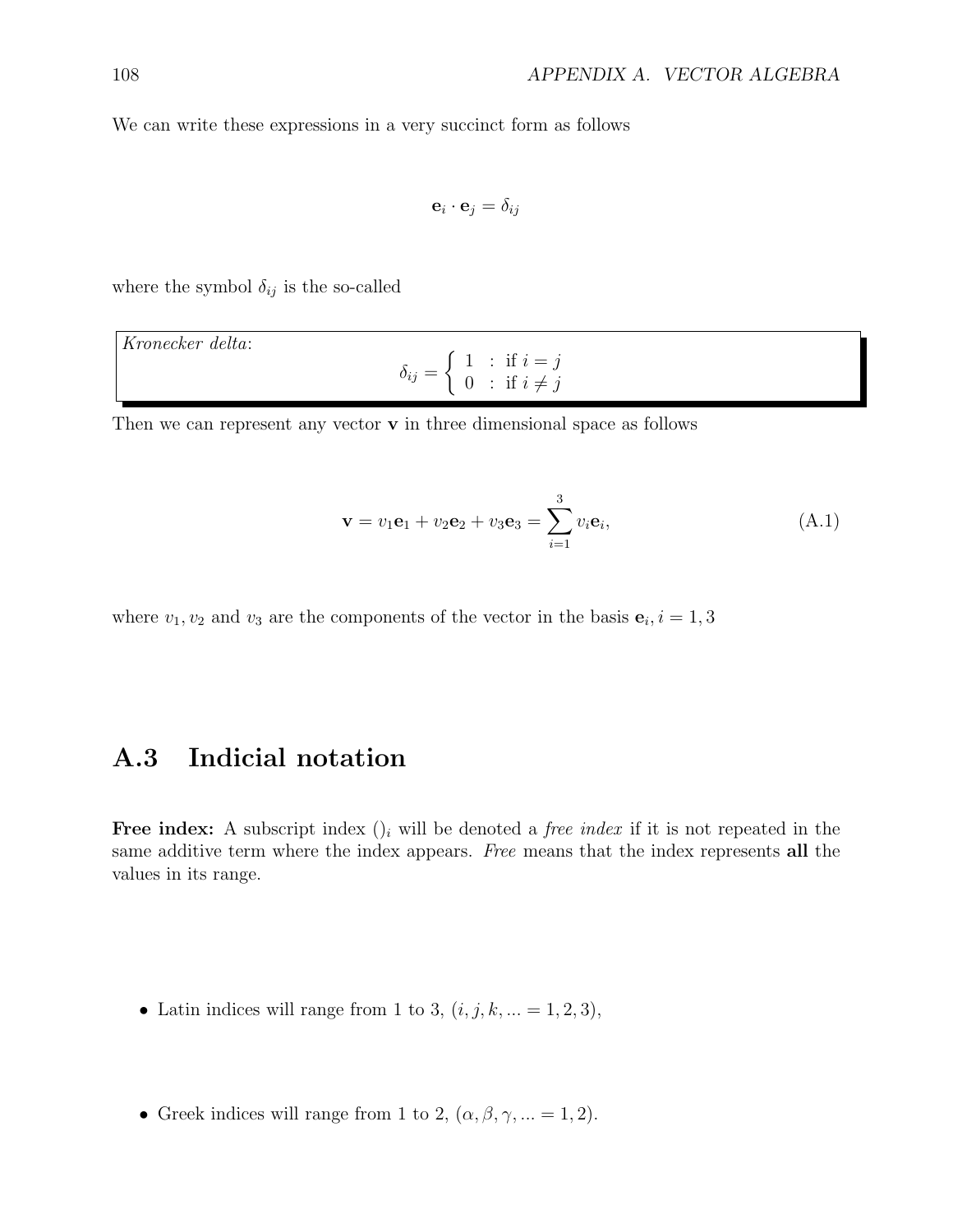We can write these expressions in a very succinct form as follows

$$
\mathbf{e}_i \cdot \mathbf{e}_j = \delta_{ij}
$$

where the symbol  $\delta_{ij}$  is the so-called

| Kronecker delta: |  |                                                                                                                      |  |  |
|------------------|--|----------------------------------------------------------------------------------------------------------------------|--|--|
|                  |  | $\delta_{ij} = \left\{ \begin{array}{l l} 1 & : \text{ if } i = j \\ 0 & : \text{ if } i \neq j \end{array} \right.$ |  |  |

Then we can represent any vector  $\bf{v}$  in three dimensional space as follows

<span id="page-1-0"></span>
$$
\mathbf{v} = v_1 \mathbf{e}_1 + v_2 \mathbf{e}_2 + v_3 \mathbf{e}_3 = \sum_{i=1}^{3} v_i \mathbf{e}_i,
$$
 (A.1)

where  $v_1, v_2$  and  $v_3$  are the components of the vector in the basis  $\mathbf{e}_i, i = 1, 3$ 

## <span id="page-1-1"></span>A.3 Indicial notation

Free index: A subscript index  $()$  will be denoted a *free index* if it is not repeated in the same additive term where the index appears. Free means that the index represents all the values in its range.

- Latin indices will range from 1 to 3,  $(i, j, k, ... = 1, 2, 3)$ ,
- Greek indices will range from 1 to 2,  $(\alpha, \beta, \gamma, \dots = 1, 2)$ .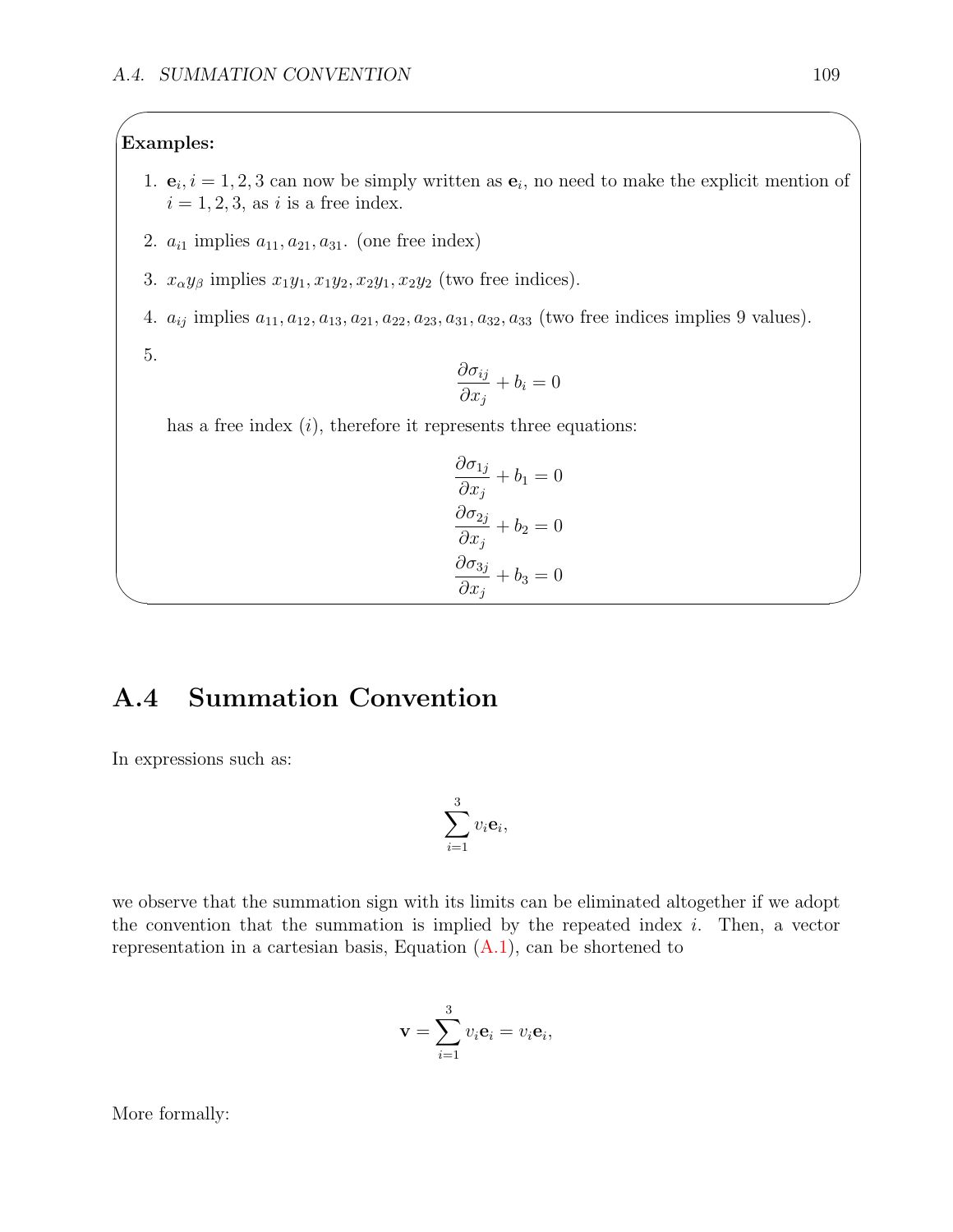#### Examples:

 $\sqrt{2\pi}$ 

- 1.  $\mathbf{e}_i$ ,  $i = 1, 2, 3$  can now be simply written as  $\mathbf{e}_i$ , no need to make the explicit mention of  $i = 1, 2, 3$ , as i is a free index.
- 2.  $a_{i1}$  implies  $a_{11}, a_{21}, a_{31}$ . (one free index)
- 3.  $x_{\alpha}y_{\beta}$  implies  $x_1y_1, x_1y_2, x_2y_1, x_2y_2$  (two free indices).
- 4.  $a_{ij}$  implies  $a_{11}, a_{12}, a_{13}, a_{21}, a_{22}, a_{23}, a_{31}, a_{32}, a_{33}$  (two free indices implies 9 values).

5.

 $\sim$ 

$$
\frac{\partial \sigma_{ij}}{\partial x_j} + b_i = 0
$$

has a free index  $(i)$ , therefore it represents three equations:

$$
\frac{\partial \sigma_{1j}}{\partial x_j} + b_1 = 0
$$

$$
\frac{\partial \sigma_{2j}}{\partial x_j} + b_2 = 0
$$

$$
\frac{\partial \sigma_{3j}}{\partial x_j} + b_3 = 0
$$

## A.4 Summation Convention

In expressions such as:

$$
\sum_{i=1}^3 v_i \mathbf{e}_i,
$$

we observe that the summation sign with its limits can be eliminated altogether if we adopt the convention that the summation is implied by the repeated index  $i$ . Then, a vector representation in a cartesian basis, Equation  $(A.1)$ , can be shortened to

$$
\mathbf{v} = \sum_{i=1}^{3} v_i \mathbf{e}_i = v_i \mathbf{e}_i,
$$

More formally: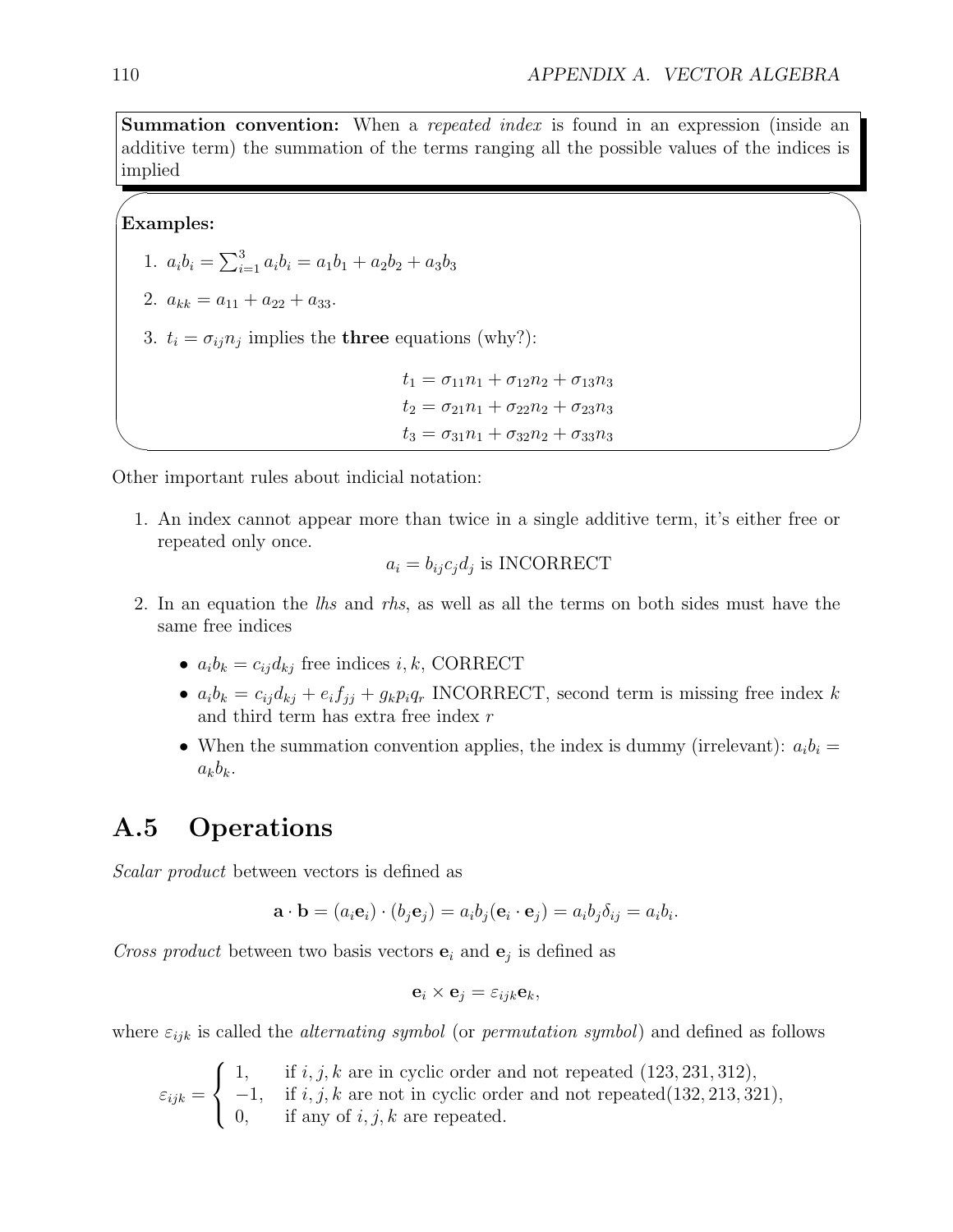w, ka

Summation convention: When a *repeated index* is found in an expression (inside an additive term) the summation of the terms ranging all the possible values of the indices is implied

#### Examples:

 $\sim$ 

✫

1.  $a_i b_i = \sum_{i=1}^3 a_i b_i = a_1 b_1 + a_2 b_2 + a_3 b_3$ 

2.  $a_{kk} = a_{11} + a_{22} + a_{33}$ .

3.  $t_i = \sigma_{ij} n_j$  implies the **three** equations (why?):

```
t_1 = \sigma_{11}n_1 + \sigma_{12}n_2 + \sigma_{13}n_3t_2 = \sigma_{21}n_1 + \sigma_{22}n_2 + \sigma_{23}n_3t_3 = \sigma_{31}n_1 + \sigma_{32}n_2 + \sigma_{33}n_3
```
Other important rules about indicial notation:

1. An index cannot appear more than twice in a single additive term, it's either free or repeated only once.

$$
a_i = b_{ij} c_j d_j
$$
 is INCORRECT

- 2. In an equation the *lhs* and *rhs*, as well as all the terms on both sides must have the same free indices
	- $a_i b_k = c_{ij} d_{kj}$  free indices i, k, CORRECT
	- $a_i b_k = c_{ij} d_{kj} + e_i f_{jj} + g_k p_i q_r$  INCORRECT, second term is missing free index k and third term has extra free index r
	- When the summation convention applies, the index is dummy (irrelevant):  $a_i b_i =$  $a_kb_k$ .

#### <span id="page-3-0"></span>A.5 Operations

Scalar product between vectors is defined as

$$
\mathbf{a} \cdot \mathbf{b} = (a_i \mathbf{e}_i) \cdot (b_j \mathbf{e}_j) = a_i b_j (\mathbf{e}_i \cdot \mathbf{e}_j) = a_i b_j \delta_{ij} = a_i b_i.
$$

Cross product between two basis vectors  $e_i$  and  $e_j$  is defined as

$$
\mathbf{e}_i \times \mathbf{e}_j = \varepsilon_{ijk} \mathbf{e}_k,
$$

where  $\varepsilon_{ijk}$  is called the *alternating symbol* (or *permutation symbol*) and defined as follows

 $\varepsilon_{ijk} =$  $\sqrt{ }$  $\int$  $\mathcal{L}$ 1, if  $i, j, k$  are in cyclic order and not repeated  $(123, 231, 312)$ ,  $-1$ , if i, j, k are not in cyclic order and not repeated(132, 213, 321), 0, if any of  $i, j, k$  are repeated.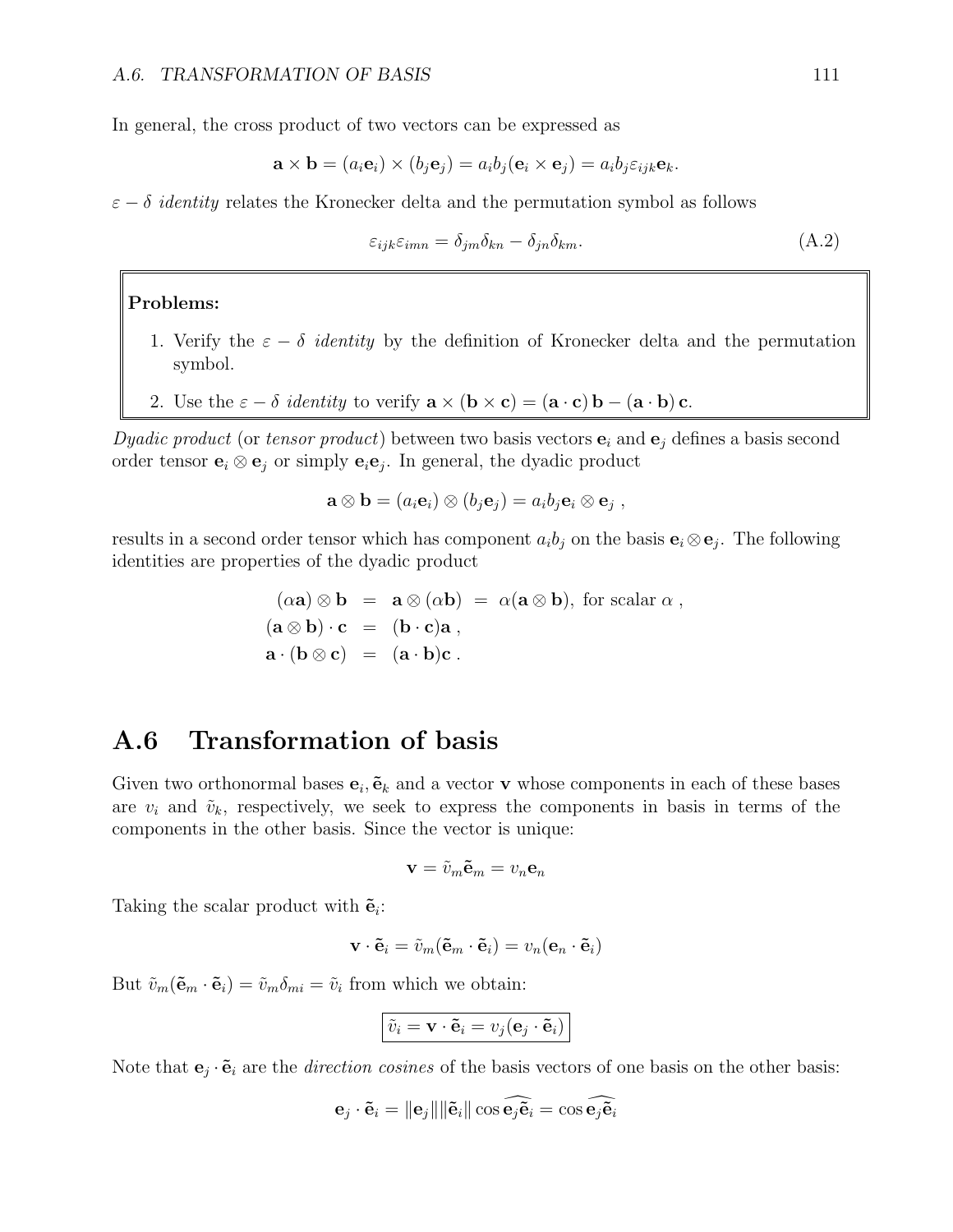In general, the cross product of two vectors can be expressed as

$$
\mathbf{a} \times \mathbf{b} = (a_i \mathbf{e}_i) \times (b_j \mathbf{e}_j) = a_i b_j (\mathbf{e}_i \times \mathbf{e}_j) = a_i b_j \varepsilon_{ijk} \mathbf{e}_k.
$$

 $\varepsilon - \delta$  *identity* relates the Kronecker delta and the permutation symbol as follows

$$
\varepsilon_{ijk}\varepsilon_{imn} = \delta_{jm}\delta_{kn} - \delta_{jn}\delta_{km}.\tag{A.2}
$$

#### Problems:

- 1. Verify the  $\varepsilon \delta$  *identity* by the definition of Kronecker delta and the permutation symbol.
- 2. Use the  $\varepsilon \delta$  *identity* to verify  $\mathbf{a} \times (\mathbf{b} \times \mathbf{c}) = (\mathbf{a} \cdot \mathbf{c}) \mathbf{b} (\mathbf{a} \cdot \mathbf{b}) \mathbf{c}$ .

Dyadic product (or tensor product) between two basis vectors  $e_i$  and  $e_j$  defines a basis second order tensor  $\mathbf{e}_i \otimes \mathbf{e}_j$  or simply  $\mathbf{e}_i \mathbf{e}_j$ . In general, the dyadic product

$$
\mathbf{a} \otimes \mathbf{b} = (a_i \mathbf{e}_i) \otimes (b_j \mathbf{e}_j) = a_i b_j \mathbf{e}_i \otimes \mathbf{e}_j ,
$$

results in a second order tensor which has component  $a_i b_j$  on the basis  $\mathbf{e}_i \otimes \mathbf{e}_j$ . The following identities are properties of the dyadic product

$$
(\alpha \mathbf{a}) \otimes \mathbf{b} = \mathbf{a} \otimes (\alpha \mathbf{b}) = \alpha (\mathbf{a} \otimes \mathbf{b}), \text{ for scalar } \alpha ,
$$

$$
(\mathbf{a} \otimes \mathbf{b}) \cdot \mathbf{c} = (\mathbf{b} \cdot \mathbf{c})\mathbf{a} ,
$$

$$
\mathbf{a} \cdot (\mathbf{b} \otimes \mathbf{c}) = (\mathbf{a} \cdot \mathbf{b})\mathbf{c} .
$$

## <span id="page-4-0"></span>A.6 Transformation of basis

Given two orthonormal bases  $e_i$ ,  $\tilde{e}_k$  and a vector **v** whose components in each of these bases are  $v_i$  and  $\tilde{v}_k$ , respectively, we seek to express the components in basis in terms of the components in the other basis. Since the vector is unique:

$$
\mathbf{v}=\tilde{v}_m\tilde{\mathbf{e}}_m=v_n\mathbf{e}_n
$$

Taking the scalar product with  $\tilde{\mathbf{e}}_i$ :

$$
\mathbf{v} \cdot \tilde{\mathbf{e}}_i = \tilde{v}_m(\tilde{\mathbf{e}}_m \cdot \tilde{\mathbf{e}}_i) = v_n(\mathbf{e}_n \cdot \tilde{\mathbf{e}}_i)
$$

But  $\tilde{v}_m(\tilde{\mathbf{e}}_m \cdot \tilde{\mathbf{e}}_i) = \tilde{v}_m \delta_{mi} = \tilde{v}_i$  from which we obtain:

$$
\boxed{\tilde{v}_i = \mathbf{v} \cdot \tilde{\mathbf{e}}_i = v_j(\mathbf{e}_j \cdot \tilde{\mathbf{e}}_i)}
$$

Note that  $\mathbf{e}_j \cdot \tilde{\mathbf{e}}_i$  are the *direction cosines* of the basis vectors of one basis on the other basis:

$$
\mathbf{e}_j \cdot \tilde{\mathbf{e}}_i = \|\mathbf{e}_j\| \|\tilde{\mathbf{e}}_i\| \cos \widehat{\mathbf{e}_j \tilde{\mathbf{e}}_i} = \cos \widehat{\mathbf{e}_j \tilde{\mathbf{e}}_i}
$$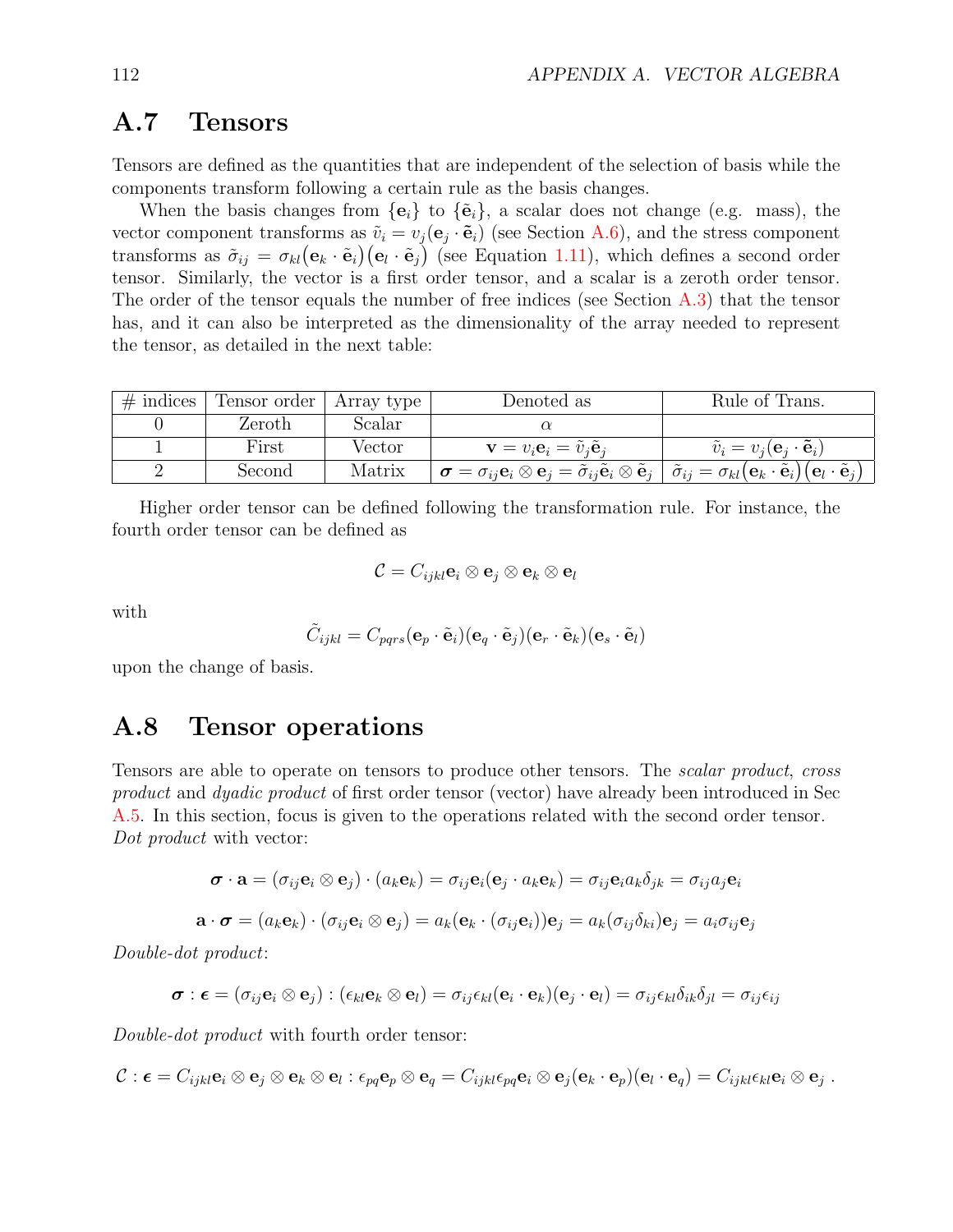## A.7 Tensors

Tensors are defined as the quantities that are independent of the selection of basis while the components transform following a certain rule as the basis changes.

When the basis changes from  ${e_i}$  to  ${\tilde{e}_i}$ , a scalar does not change (e.g. mass), the vector component transforms as  $\tilde{v}_i = v_j(e_j \cdot \tilde{e}_i)$  (see Section [A.6\)](#page-4-0), and the stress component transforms as  $\tilde{\sigma}_{ij} = \sigma_{kl} (\mathbf{e}_k \cdot \tilde{\mathbf{e}}_i) (\mathbf{e}_l \cdot \tilde{\mathbf{e}}_j)$  (see Equation [1.11\)](#page--1-0), which defines a second order tensor. Similarly, the vector is a first order tensor, and a scalar is a zeroth order tensor. The order of the tensor equals the number of free indices (see Section  $\hat{A}.3$ ) that the tensor has, and it can also be interpreted as the dimensionality of the array needed to represent the tensor, as detailed in the next table:

| $\#$ indices | ⊤ Tensor order ∣ | Array type | Denoted as                                                                                                                                                                                                                                                                                                | Rule of Trans.                                               |
|--------------|------------------|------------|-----------------------------------------------------------------------------------------------------------------------------------------------------------------------------------------------------------------------------------------------------------------------------------------------------------|--------------------------------------------------------------|
|              | Zeroth           | Scalar     |                                                                                                                                                                                                                                                                                                           |                                                              |
|              | First            | Vector     | $\mathbf{v} = v_i \mathbf{e}_i = \tilde{v}_i \tilde{\mathbf{e}}_i$                                                                                                                                                                                                                                        | $\tilde{v}_i = v_i(\mathbf{e}_i \cdot \tilde{\mathbf{e}}_i)$ |
|              | Second           | Matrix     | $\mathbf{p} \boldsymbol{\sigma} = \sigma_{ii} \mathbf{e}_i \otimes \mathbf{e}_j = \tilde{\sigma}_{ii} \tilde{\mathbf{e}}_i \otimes \tilde{\mathbf{e}}_j \,\mid\, \tilde{\sigma}_{ij} = \sigma_{kl} \big(\mathbf{e}_k \cdot \tilde{\mathbf{e}}_i \big) \big(\mathbf{e}_l \cdot \tilde{\mathbf{e}}_j \big)$ |                                                              |

Higher order tensor can be defined following the transformation rule. For instance, the fourth order tensor can be defined as

$$
\mathcal{C}=C_{ijkl}\mathbf{e}_i\otimes \mathbf{e}_j\otimes \mathbf{e}_k\otimes \mathbf{e}_l
$$

with

$$
\tilde{C}_{ijkl} = C_{pqrs}(\mathbf{e}_p \cdot \tilde{\mathbf{e}}_i)(\mathbf{e}_q \cdot \tilde{\mathbf{e}}_j)(\mathbf{e}_r \cdot \tilde{\mathbf{e}}_k)(\mathbf{e}_s \cdot \tilde{\mathbf{e}}_l)
$$

upon the change of basis.

#### A.8 Tensor operations

Tensors are able to operate on tensors to produce other tensors. The scalar product, cross product and dyadic product of first order tensor (vector) have already been introduced in Sec [A.5.](#page-3-0) In this section, focus is given to the operations related with the second order tensor. Dot product with vector:

$$
\boldsymbol{\sigma} \cdot \mathbf{a} = (\sigma_{ij} \mathbf{e}_i \otimes \mathbf{e}_j) \cdot (a_k \mathbf{e}_k) = \sigma_{ij} \mathbf{e}_i (\mathbf{e}_j \cdot a_k \mathbf{e}_k) = \sigma_{ij} \mathbf{e}_i a_k \delta_{jk} = \sigma_{ij} a_j \mathbf{e}_i
$$

$$
\mathbf{a} \cdot \boldsymbol{\sigma} = (a_k \mathbf{e}_k) \cdot (\sigma_{ij} \mathbf{e}_i \otimes \mathbf{e}_j) = a_k (\mathbf{e}_k \cdot (\sigma_{ij} \mathbf{e}_i)) \mathbf{e}_j = a_k (\sigma_{ij} \delta_{ki}) \mathbf{e}_j = a_i \sigma_{ij} \mathbf{e}_j
$$

Double-dot product:

$$
\boldsymbol{\sigma} : \boldsymbol{\epsilon} = (\sigma_{ij} \mathbf{e}_i \otimes \mathbf{e}_j) : (\epsilon_{kl} \mathbf{e}_k \otimes \mathbf{e}_l) = \sigma_{ij} \epsilon_{kl} (\mathbf{e}_i \cdot \mathbf{e}_k) (\mathbf{e}_j \cdot \mathbf{e}_l) = \sigma_{ij} \epsilon_{kl} \delta_{ik} \delta_{jl} = \sigma_{ij} \epsilon_{ij}
$$

Double-dot product with fourth order tensor:

$$
\mathcal{C} : \boldsymbol{\epsilon} = C_{ijkl} \mathbf{e}_i \otimes \mathbf{e}_j \otimes \mathbf{e}_k \otimes \mathbf{e}_l : \epsilon_{pq} \mathbf{e}_p \otimes \mathbf{e}_q = C_{ijkl} \epsilon_{pq} \mathbf{e}_i \otimes \mathbf{e}_j (\mathbf{e}_k \cdot \mathbf{e}_p) (\mathbf{e}_l \cdot \mathbf{e}_q) = C_{ijkl} \epsilon_{kl} \mathbf{e}_i \otimes \mathbf{e}_j.
$$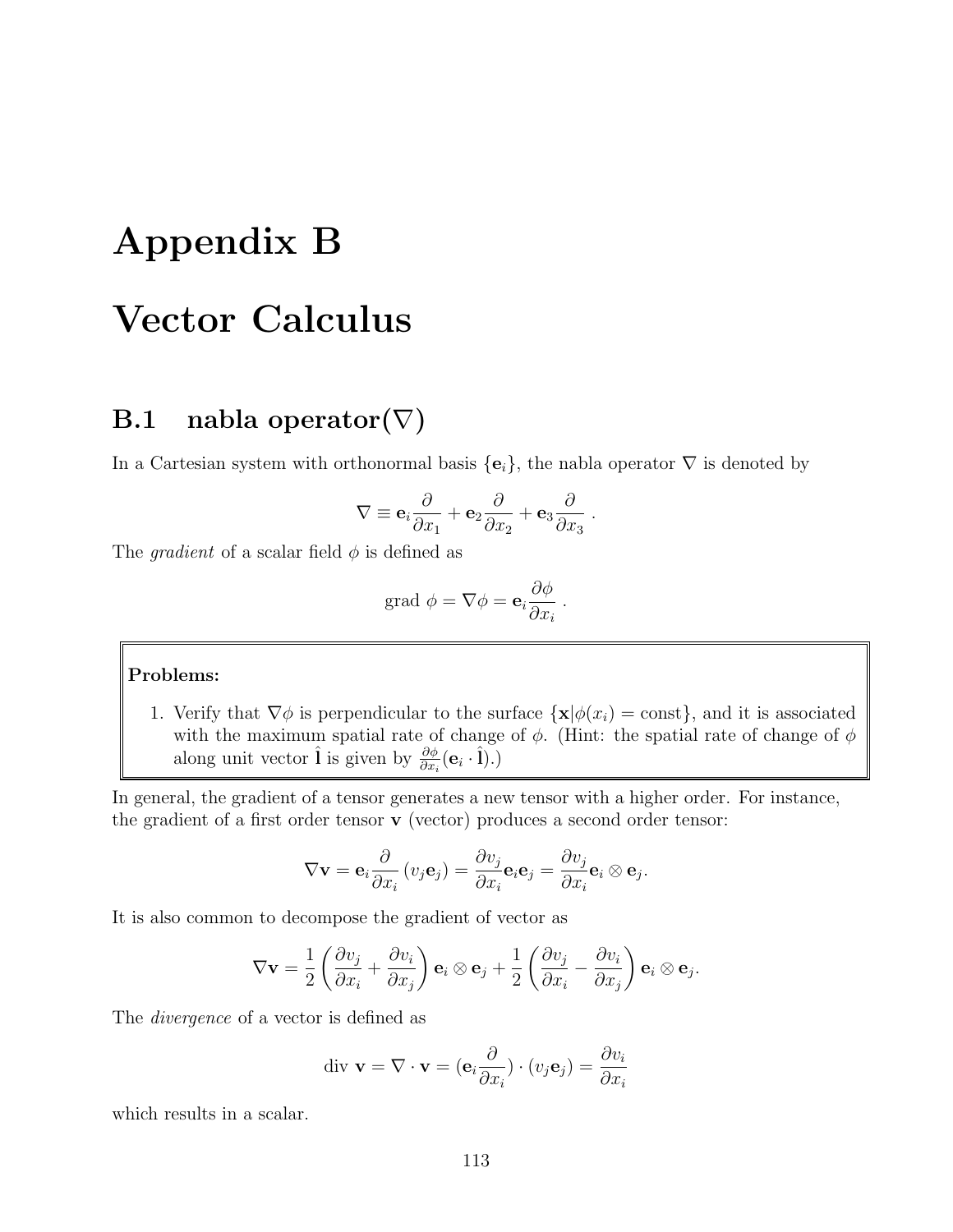## Appendix B Vector Calculus

## B.1 nabla operator $(\nabla)$

In a Cartesian system with orthonormal basis  $\{e_i\}$ , the nabla operator  $\nabla$  is denoted by

$$
\nabla \equiv \mathbf{e}_i \frac{\partial}{\partial x_1} + \mathbf{e}_2 \frac{\partial}{\partial x_2} + \mathbf{e}_3 \frac{\partial}{\partial x_3}.
$$

The *gradient* of a scalar field  $\phi$  is defined as

grad 
$$
\phi = \nabla \phi = \mathbf{e}_i \frac{\partial \phi}{\partial x_i}
$$
.

#### Problems:

1. Verify that  $\nabla \phi$  is perpendicular to the surface  $\{\mathbf x | \phi(x_i) = \text{const}\}\,$  and it is associated with the maximum spatial rate of change of  $\phi$ . (Hint: the spatial rate of change of  $\phi$ along unit vector  $\hat{\mathbf{l}}$  is given by  $\frac{\partial \phi}{\partial x_i}(\mathbf{e}_i \cdot \hat{\mathbf{l}}).$ 

In general, the gradient of a tensor generates a new tensor with a higher order. For instance, the gradient of a first order tensor v (vector) produces a second order tensor:

$$
\nabla \mathbf{v} = \mathbf{e}_i \frac{\partial}{\partial x_i} (v_j \mathbf{e}_j) = \frac{\partial v_j}{\partial x_i} \mathbf{e}_i \mathbf{e}_j = \frac{\partial v_j}{\partial x_i} \mathbf{e}_i \otimes \mathbf{e}_j.
$$

It is also common to decompose the gradient of vector as

$$
\nabla \mathbf{v} = \frac{1}{2} \left( \frac{\partial v_j}{\partial x_i} + \frac{\partial v_i}{\partial x_j} \right) \mathbf{e}_i \otimes \mathbf{e}_j + \frac{1}{2} \left( \frac{\partial v_j}{\partial x_i} - \frac{\partial v_i}{\partial x_j} \right) \mathbf{e}_i \otimes \mathbf{e}_j.
$$

The divergence of a vector is defined as

$$
\text{div } \mathbf{v} = \nabla \cdot \mathbf{v} = (\mathbf{e}_i \frac{\partial}{\partial x_i}) \cdot (v_j \mathbf{e}_j) = \frac{\partial v_i}{\partial x_i}
$$

which results in a scalar.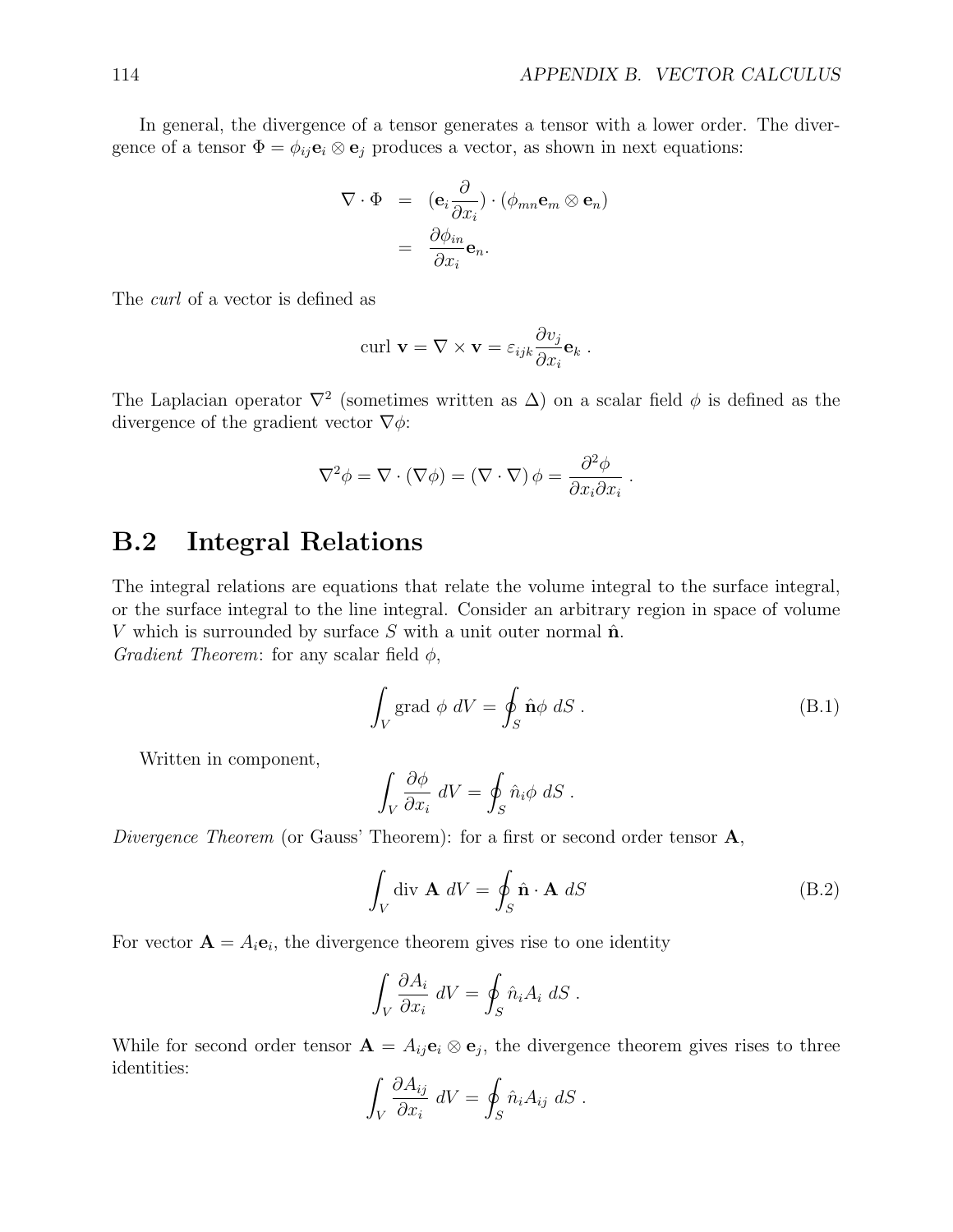In general, the divergence of a tensor generates a tensor with a lower order. The divergence of a tensor  $\Phi = \phi_{ij} \mathbf{e}_i \otimes \mathbf{e}_j$  produces a vector, as shown in next equations:

$$
\nabla \cdot \Phi = (\mathbf{e}_i \frac{\partial}{\partial x_i}) \cdot (\phi_{mn} \mathbf{e}_m \otimes \mathbf{e}_n)
$$

$$
= \frac{\partial \phi_{in}}{\partial x_i} \mathbf{e}_n.
$$

The curl of a vector is defined as

$$
\operatorname{curl} \mathbf{v} = \nabla \times \mathbf{v} = \varepsilon_{ijk} \frac{\partial v_j}{\partial x_i} \mathbf{e}_k.
$$

The Laplacian operator  $\nabla^2$  (sometimes written as  $\Delta$ ) on a scalar field  $\phi$  is defined as the divergence of the gradient vector  $\nabla \phi$ :

$$
\nabla^2 \phi = \nabla \cdot (\nabla \phi) = (\nabla \cdot \nabla) \phi = \frac{\partial^2 \phi}{\partial x_i \partial x_i}.
$$

#### B.2 Integral Relations

The integral relations are equations that relate the volume integral to the surface integral, or the surface integral to the line integral. Consider an arbitrary region in space of volume V which is surrounded by surface S with a unit outer normal  $\hat{\mathbf{n}}$ . Gradient Theorem: for any scalar field  $\phi$ ,

$$
\int_{V} \text{grad } \phi \ dV = \oint_{S} \hat{\mathbf{n}} \phi \ dS \ . \tag{B.1}
$$

Written in component,

$$
\int_{V} \frac{\partial \phi}{\partial x_{i}} \, dV = \oint_{S} \hat{n}_{i} \phi \, dS \, .
$$

Divergence Theorem (or Gauss' Theorem): for a first or second order tensor  $\mathbf{A}$ ,

$$
\int_{V} \operatorname{div} \mathbf{A} \, dV = \oint_{S} \hat{\mathbf{n}} \cdot \mathbf{A} \, dS \tag{B.2}
$$

For vector  $\mathbf{A} = A_i \mathbf{e}_i$ , the divergence theorem gives rise to one identity

$$
\int_{V} \frac{\partial A_i}{\partial x_i} dV = \oint_{S} \hat{n}_i A_i dS.
$$

While for second order tensor  $\mathbf{A} = A_{ij} \mathbf{e}_i \otimes \mathbf{e}_j$ , the divergence theorem gives rises to three identities:

$$
\int_{V} \frac{\partial A_{ij}}{\partial x_{i}} \, dV = \oint_{S} \hat{n}_{i} A_{ij} \, dS \, .
$$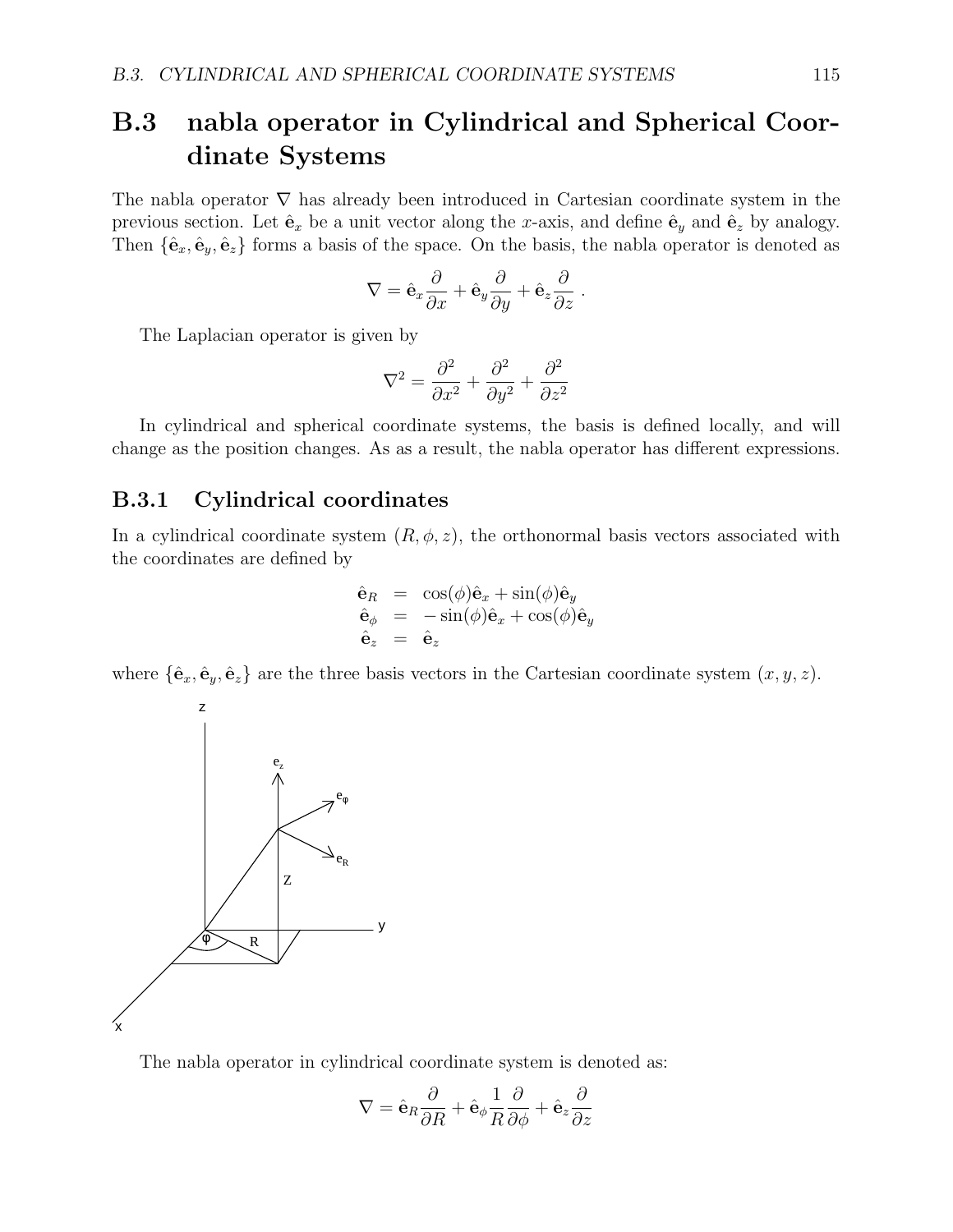## B.3 nabla operator in Cylindrical and Spherical Coordinate Systems

The nabla operator  $\nabla$  has already been introduced in Cartesian coordinate system in the previous section. Let  $\hat{\mathbf{e}}_x$  be a unit vector along the x-axis, and define  $\hat{\mathbf{e}}_y$  and  $\hat{\mathbf{e}}_z$  by analogy. Then  $\{\hat{\mathbf{e}}_x, \hat{\mathbf{e}}_y, \hat{\mathbf{e}}_z\}$  forms a basis of the space. On the basis, the nabla operator is denoted as

$$
\nabla = \hat{\mathbf{e}}_x \frac{\partial}{\partial x} + \hat{\mathbf{e}}_y \frac{\partial}{\partial y} + \hat{\mathbf{e}}_z \frac{\partial}{\partial z}.
$$

The Laplacian operator is given by

$$
\nabla^2 = \frac{\partial^2}{\partial x^2} + \frac{\partial^2}{\partial y^2} + \frac{\partial^2}{\partial z^2}
$$

In cylindrical and spherical coordinate systems, the basis is defined locally, and will change as the position changes. As as a result, the nabla operator has different expressions.

#### B.3.1 Cylindrical coordinates

In a cylindrical coordinate system  $(R, \phi, z)$ , the orthonormal basis vectors associated with the coordinates are defined by

$$
\begin{array}{rcl}\n\hat{\mathbf{e}}_R &=& \cos(\phi)\hat{\mathbf{e}}_x + \sin(\phi)\hat{\mathbf{e}}_y \\
\hat{\mathbf{e}}_{\phi} &=& -\sin(\phi)\hat{\mathbf{e}}_x + \cos(\phi)\hat{\mathbf{e}}_y \\
\hat{\mathbf{e}}_z &=& \hat{\mathbf{e}}_z\n\end{array}
$$

where  $\{\hat{\mathbf{e}}_x, \hat{\mathbf{e}}_y, \hat{\mathbf{e}}_z\}$  are the three basis vectors in the Cartesian coordinate system  $(x, y, z)$ .



The nabla operator in cylindrical coordinate system is denoted as:

$$
\nabla = \hat{\textbf{e}}_R \frac{\partial}{\partial R} + \hat{\textbf{e}}_\phi \frac{1}{R} \frac{\partial}{\partial \phi} + \hat{\textbf{e}}_z \frac{\partial}{\partial z}
$$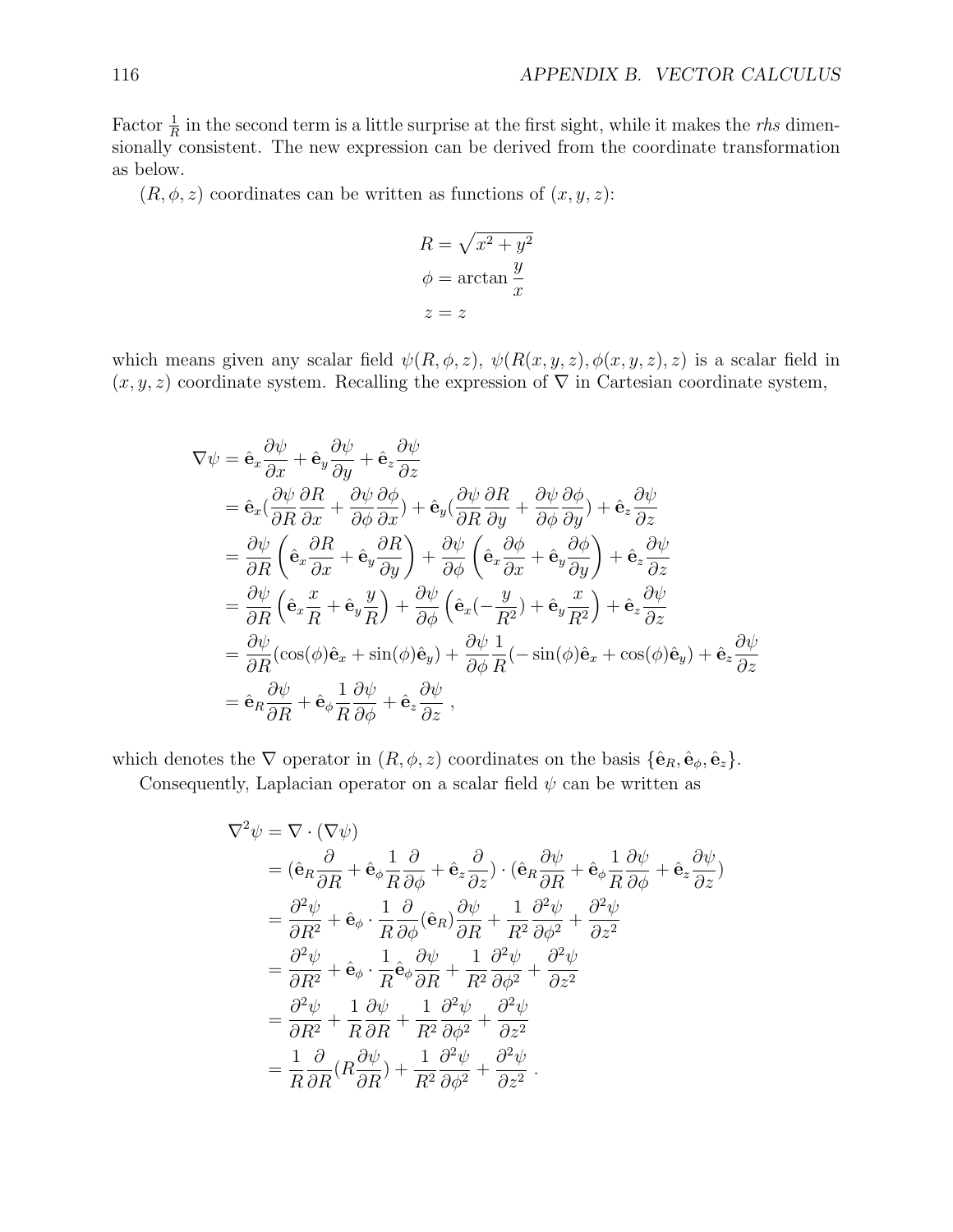Factor  $\frac{1}{R}$  in the second term is a little surprise at the first sight, while it makes the *rhs* dimensionally consistent. The new expression can be derived from the coordinate transformation as below.

 $(R, \phi, z)$  coordinates can be written as functions of  $(x, y, z)$ :

$$
R = \sqrt{x^2 + y^2}
$$

$$
\phi = \arctan \frac{y}{x}
$$

$$
z = z
$$

which means given any scalar field  $\psi(R, \phi, z)$ ,  $\psi(R(x, y, z), \phi(x, y, z), z)$  is a scalar field in  $(x, y, z)$  coordinate system. Recalling the expression of  $\nabla$  in Cartesian coordinate system,

$$
\nabla \psi = \hat{\mathbf{e}}_x \frac{\partial \psi}{\partial x} + \hat{\mathbf{e}}_y \frac{\partial \psi}{\partial y} + \hat{\mathbf{e}}_z \frac{\partial \psi}{\partial z} \n= \hat{\mathbf{e}}_x (\frac{\partial \psi}{\partial R} \frac{\partial R}{\partial x} + \frac{\partial \psi}{\partial \phi} \frac{\partial \phi}{\partial x}) + \hat{\mathbf{e}}_y (\frac{\partial \psi}{\partial R} \frac{\partial R}{\partial y} + \frac{\partial \psi}{\partial \phi} \frac{\partial \phi}{\partial y}) + \hat{\mathbf{e}}_z \frac{\partial \psi}{\partial z} \n= \frac{\partial \psi}{\partial R} \left( \hat{\mathbf{e}}_x \frac{\partial R}{\partial x} + \hat{\mathbf{e}}_y \frac{\partial R}{\partial y} \right) + \frac{\partial \psi}{\partial \phi} \left( \hat{\mathbf{e}}_x \frac{\partial \phi}{\partial x} + \hat{\mathbf{e}}_y \frac{\partial \phi}{\partial y} \right) + \hat{\mathbf{e}}_z \frac{\partial \psi}{\partial z} \n= \frac{\partial \psi}{\partial R} \left( \hat{\mathbf{e}}_x \frac{x}{R} + \hat{\mathbf{e}}_y \frac{y}{R} \right) + \frac{\partial \psi}{\partial \phi} \left( \hat{\mathbf{e}}_x (-\frac{y}{R^2}) + \hat{\mathbf{e}}_y \frac{x}{R^2} \right) + \hat{\mathbf{e}}_z \frac{\partial \psi}{\partial z} \n= \frac{\partial \psi}{\partial R} (\cos(\phi)\hat{\mathbf{e}}_x + \sin(\phi)\hat{\mathbf{e}}_y) + \frac{\partial \psi}{\partial \phi} \frac{1}{R} (-\sin(\phi)\hat{\mathbf{e}}_x + \cos(\phi)\hat{\mathbf{e}}_y) + \hat{\mathbf{e}}_z \frac{\partial \psi}{\partial z} \n= \hat{\mathbf{e}}_R \frac{\partial \psi}{\partial R} + \hat{\mathbf{e}}_\phi \frac{1}{R} \frac{\partial \psi}{\partial \phi} + \hat{\mathbf{e}}_z \frac{\partial \psi}{\partial z} ,
$$

which denotes the  $\nabla$  operator in  $(R, \phi, z)$  coordinates on the basis  $\{\hat{\mathbf{e}}_R, \hat{\mathbf{e}}_\phi, \hat{\mathbf{e}}_z\}.$ 

Consequently, Laplacian operator on a scalar field  $\psi$  can be written as

$$
\nabla^2 \psi = \nabla \cdot (\nabla \psi)
$$
  
\n
$$
= (\hat{\mathbf{e}}_R \frac{\partial}{\partial R} + \hat{\mathbf{e}}_\phi \frac{1}{R} \frac{\partial}{\partial \phi} + \hat{\mathbf{e}}_z \frac{\partial}{\partial z}) \cdot (\hat{\mathbf{e}}_R \frac{\partial \psi}{\partial R} + \hat{\mathbf{e}}_\phi \frac{1}{R} \frac{\partial \psi}{\partial \phi} + \hat{\mathbf{e}}_z \frac{\partial \psi}{\partial z})
$$
  
\n
$$
= \frac{\partial^2 \psi}{\partial R^2} + \hat{\mathbf{e}}_\phi \cdot \frac{1}{R} \frac{\partial}{\partial \phi} (\hat{\mathbf{e}}_R) \frac{\partial \psi}{\partial R} + \frac{1}{R^2} \frac{\partial^2 \psi}{\partial \phi^2} + \frac{\partial^2 \psi}{\partial z^2}
$$
  
\n
$$
= \frac{\partial^2 \psi}{\partial R^2} + \hat{\mathbf{e}}_\phi \cdot \frac{1}{R} \hat{\mathbf{e}}_\phi \frac{\partial \psi}{\partial R} + \frac{1}{R^2} \frac{\partial^2 \psi}{\partial \phi^2} + \frac{\partial^2 \psi}{\partial z^2}
$$
  
\n
$$
= \frac{\partial^2 \psi}{\partial R^2} + \frac{1}{R} \frac{\partial \psi}{\partial R} + \frac{1}{R^2} \frac{\partial^2 \psi}{\partial \phi^2} + \frac{\partial^2 \psi}{\partial z^2}
$$
  
\n
$$
= \frac{1}{R} \frac{\partial}{\partial R} (R \frac{\partial \psi}{\partial R}) + \frac{1}{R^2} \frac{\partial^2 \psi}{\partial \phi^2} + \frac{\partial^2 \psi}{\partial z^2}.
$$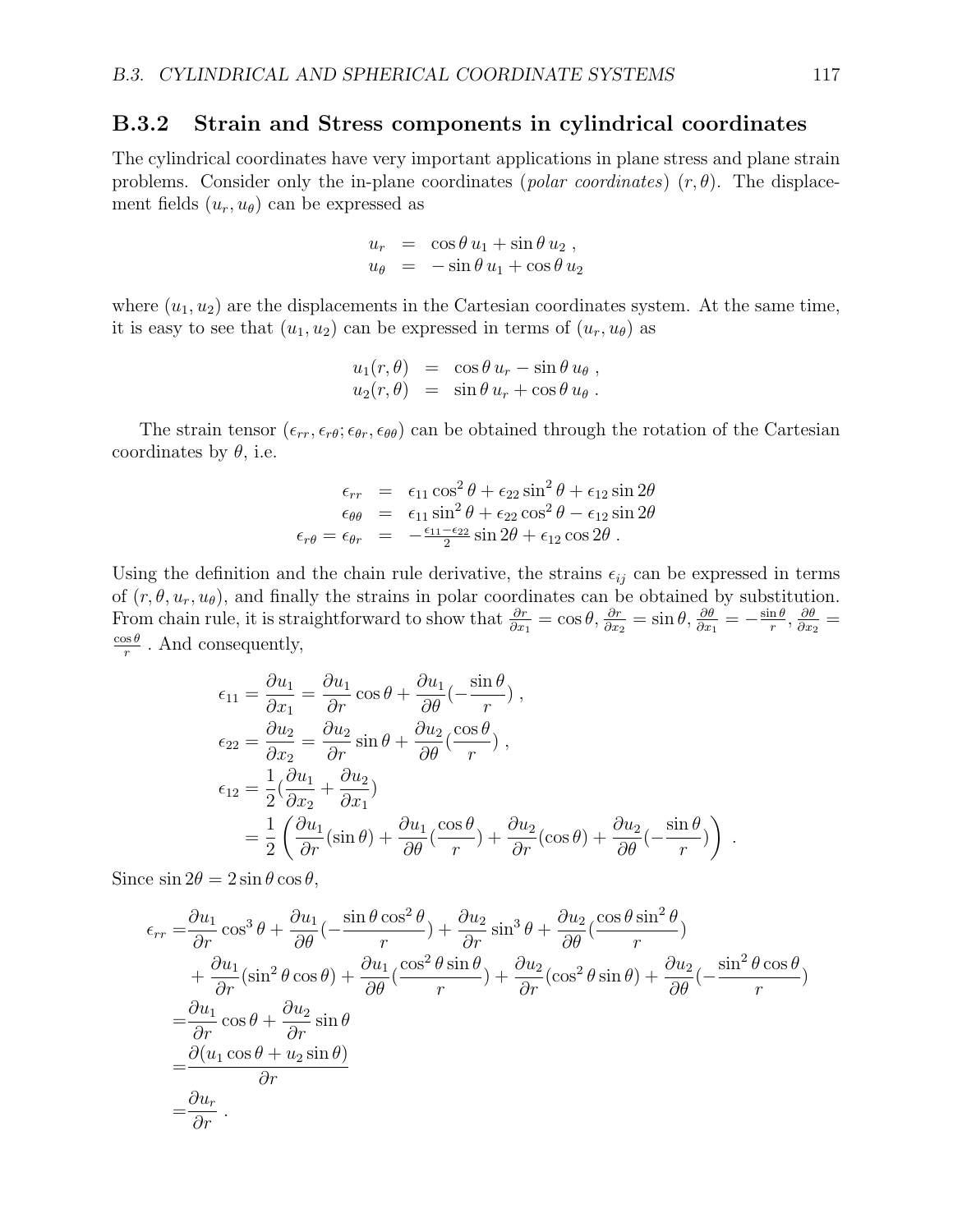#### B.3.2 Strain and Stress components in cylindrical coordinates

The cylindrical coordinates have very important applications in plane stress and plane strain problems. Consider only the in-plane coordinates (*polar coordinates*)  $(r, \theta)$ . The displacement fields  $(u_r, u_\theta)$  can be expressed as

$$
u_r = \cos \theta u_1 + \sin \theta u_2 ,
$$
  

$$
u_{\theta} = -\sin \theta u_1 + \cos \theta u_2
$$

where  $(u_1, u_2)$  are the displacements in the Cartesian coordinates system. At the same time, it is easy to see that  $(u_1, u_2)$  can be expressed in terms of  $(u_r, u_\theta)$  as

$$
u_1(r,\theta) = \cos \theta u_r - \sin \theta u_\theta,
$$
  

$$
u_2(r,\theta) = \sin \theta u_r + \cos \theta u_\theta.
$$

The strain tensor  $(\epsilon_{rr}, \epsilon_{r\theta}; \epsilon_{\theta r}, \epsilon_{\theta \theta})$  can be obtained through the rotation of the Cartesian coordinates by  $\theta$ , i.e.

$$
\epsilon_{rr} = \epsilon_{11} \cos^2 \theta + \epsilon_{22} \sin^2 \theta + \epsilon_{12} \sin 2\theta
$$
  
\n
$$
\epsilon_{\theta\theta} = \epsilon_{11} \sin^2 \theta + \epsilon_{22} \cos^2 \theta - \epsilon_{12} \sin 2\theta
$$
  
\n
$$
\epsilon_{r\theta} = \epsilon_{\theta r} = -\frac{\epsilon_{11} - \epsilon_{22}}{2} \sin 2\theta + \epsilon_{12} \cos 2\theta
$$
.

Using the definition and the chain rule derivative, the strains  $\epsilon_{ij}$  can be expressed in terms of  $(r, \theta, u_r, u_\theta)$ , and finally the strains in polar coordinates can be obtained by substitution. From chain rule, it is straightforward to show that  $\frac{\partial r}{\partial x_1} = \cos \theta$ ,  $\frac{\partial r}{\partial x_2} = \sin \theta$ ,  $\frac{\partial \theta}{\partial x_1} = -\frac{\sin \theta}{r}$  $\frac{\ln \theta}{r}, \frac{\partial \theta}{\partial x_2}$  $\frac{\partial \theta}{\partial x_2} =$  $\cos\theta$  $\frac{\partial s}{\partial r}$ . And consequently,

$$
\epsilon_{11} = \frac{\partial u_1}{\partial x_1} = \frac{\partial u_1}{\partial r} \cos \theta + \frac{\partial u_1}{\partial \theta} \left( -\frac{\sin \theta}{r} \right),
$$
  
\n
$$
\epsilon_{22} = \frac{\partial u_2}{\partial x_2} = \frac{\partial u_2}{\partial r} \sin \theta + \frac{\partial u_2}{\partial \theta} \left( \frac{\cos \theta}{r} \right),
$$
  
\n
$$
\epsilon_{12} = \frac{1}{2} \left( \frac{\partial u_1}{\partial x_2} + \frac{\partial u_2}{\partial x_1} \right)
$$
  
\n
$$
= \frac{1}{2} \left( \frac{\partial u_1}{\partial r} (\sin \theta) + \frac{\partial u_1}{\partial \theta} (\frac{\cos \theta}{r}) + \frac{\partial u_2}{\partial r} (\cos \theta) + \frac{\partial u_2}{\partial \theta} (-\frac{\sin \theta}{r}) \right).
$$

Since  $\sin 2\theta = 2 \sin \theta \cos \theta$ ,

$$
\epsilon_{rr} = \frac{\partial u_1}{\partial r} \cos^3 \theta + \frac{\partial u_1}{\partial \theta} \left( -\frac{\sin \theta \cos^2 \theta}{r} \right) + \frac{\partial u_2}{\partial r} \sin^3 \theta + \frac{\partial u_2}{\partial \theta} \left( \frac{\cos \theta \sin^2 \theta}{r} \right) \n+ \frac{\partial u_1}{\partial r} (\sin^2 \theta \cos \theta) + \frac{\partial u_1}{\partial \theta} \left( \frac{\cos^2 \theta \sin \theta}{r} \right) + \frac{\partial u_2}{\partial r} (\cos^2 \theta \sin \theta) + \frac{\partial u_2}{\partial \theta} \left( -\frac{\sin^2 \theta \cos \theta}{r} \right) \n= \frac{\partial u_1}{\partial r} \cos \theta + \frac{\partial u_2}{\partial r} \sin \theta \n= \frac{\partial (u_1 \cos \theta + u_2 \sin \theta)}{\partial r} \n= \frac{\partial u_r}{\partial r}.
$$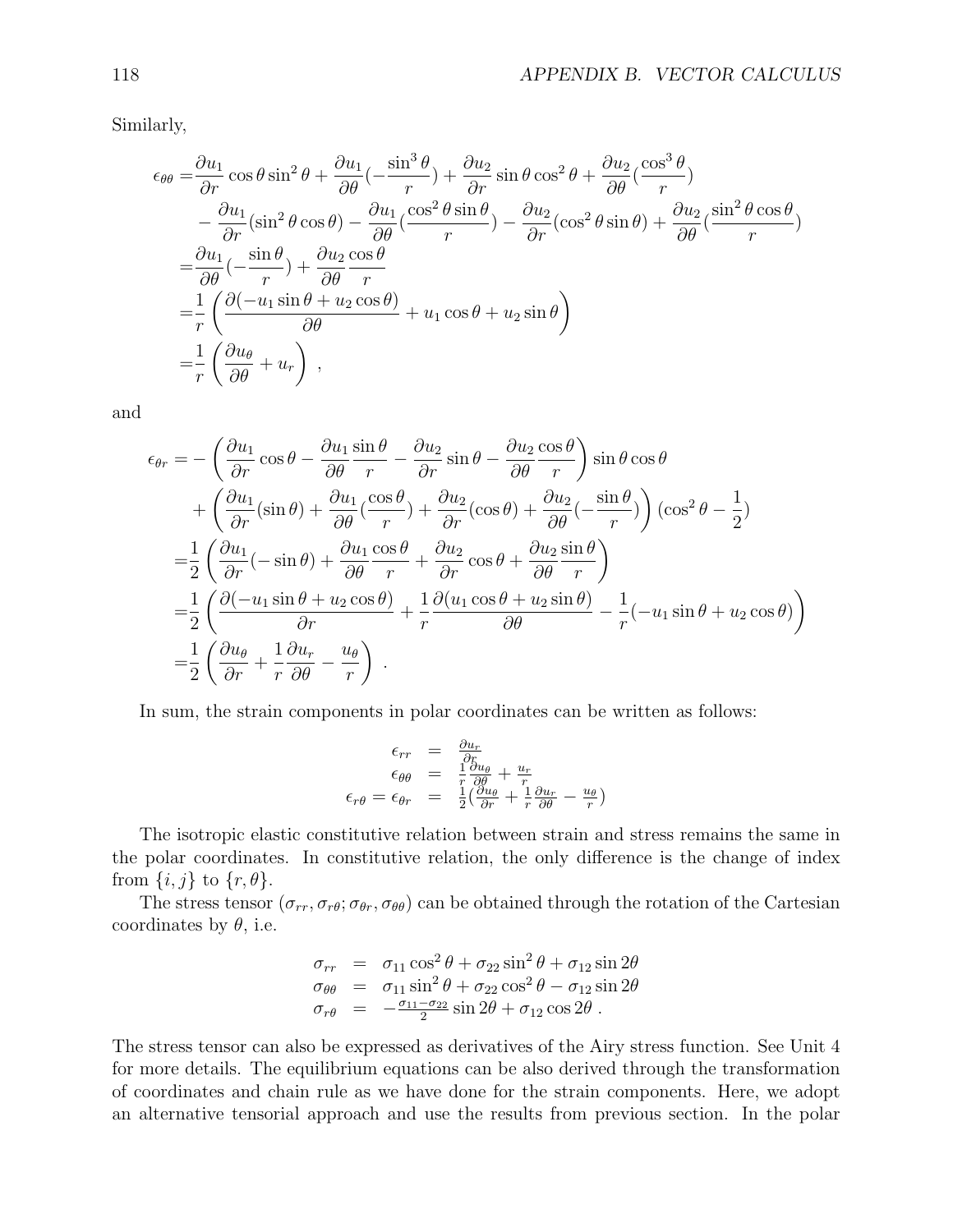Similarly,

$$
\epsilon_{\theta\theta} = \frac{\partial u_1}{\partial r} \cos \theta \sin^2 \theta + \frac{\partial u_1}{\partial \theta} \left( -\frac{\sin^3 \theta}{r} \right) + \frac{\partial u_2}{\partial r} \sin \theta \cos^2 \theta + \frac{\partial u_2}{\partial \theta} \left( \frac{\cos^3 \theta}{r} \right) \n- \frac{\partial u_1}{\partial r} (\sin^2 \theta \cos \theta) - \frac{\partial u_1}{\partial \theta} \left( \frac{\cos^2 \theta \sin \theta}{r} \right) - \frac{\partial u_2}{\partial r} (\cos^2 \theta \sin \theta) + \frac{\partial u_2}{\partial \theta} \left( \frac{\sin^2 \theta \cos \theta}{r} \right) \n= \frac{\partial u_1}{\partial \theta} \left( -\frac{\sin \theta}{r} \right) + \frac{\partial u_2}{\partial \theta} \frac{\cos \theta}{r} \n= \frac{1}{r} \left( \frac{\partial \left( -u_1 \sin \theta + u_2 \cos \theta \right)}{\partial \theta} + u_1 \cos \theta + u_2 \sin \theta \right) \n= \frac{1}{r} \left( \frac{\partial u_\theta}{\partial \theta} + u_r \right) ,
$$

and

$$
\epsilon_{\theta r} = -\left(\frac{\partial u_1}{\partial r}\cos\theta - \frac{\partial u_1}{\partial \theta}\frac{\sin\theta}{r} - \frac{\partial u_2}{\partial r}\sin\theta - \frac{\partial u_2}{\partial \theta}\frac{\cos\theta}{r}\right)\sin\theta\cos\theta \n+ \left(\frac{\partial u_1}{\partial r}(\sin\theta) + \frac{\partial u_1}{\partial \theta}(\frac{\cos\theta}{r}) + \frac{\partial u_2}{\partial r}(\cos\theta) + \frac{\partial u_2}{\partial \theta}(-\frac{\sin\theta}{r})\right)(\cos^2\theta - \frac{1}{2}) \n= \frac{1}{2}\left(\frac{\partial u_1}{\partial r}(-\sin\theta) + \frac{\partial u_1}{\partial \theta}\frac{\cos\theta}{r} + \frac{\partial u_2}{\partial r}\cos\theta + \frac{\partial u_2}{\partial \theta}\frac{\sin\theta}{r}\right) \n= \frac{1}{2}\left(\frac{\partial(-u_1\sin\theta + u_2\cos\theta)}{\partial r} + \frac{1}{r}\frac{\partial(u_1\cos\theta + u_2\sin\theta)}{\partial \theta} - \frac{1}{r}(-u_1\sin\theta + u_2\cos\theta)\right) \n= \frac{1}{2}\left(\frac{\partial u_\theta}{\partial r} + \frac{1}{r}\frac{\partial u_r}{\partial \theta} - \frac{u_\theta}{r}\right).
$$

In sum, the strain components in polar coordinates can be written as follows:

$$
\epsilon_{rr} = \frac{\partial u_r}{\partial r}
$$
  
\n
$$
\epsilon_{\theta\theta} = \frac{1}{r} \frac{\partial u_{\theta}}{\partial \theta} + \frac{u_r}{r}
$$
  
\n
$$
\epsilon_{r\theta} = \epsilon_{\theta r} = \frac{1}{2} \left( \frac{\partial u_{\theta}}{\partial r} + \frac{1}{r} \frac{\partial u_r}{\partial \theta} - \frac{u_{\theta}}{r} \right)
$$

The isotropic elastic constitutive relation between strain and stress remains the same in the polar coordinates. In constitutive relation, the only difference is the change of index from  $\{i, j\}$  to  $\{r, \theta\}$ .

The stress tensor  $(\sigma_{rr}, \sigma_{r\theta}; \sigma_{\theta r}, \sigma_{\theta \theta})$  can be obtained through the rotation of the Cartesian coordinates by  $\theta$ , i.e.

$$
\begin{array}{rcl}\n\sigma_{rr} &=& \sigma_{11} \cos^2 \theta + \sigma_{22} \sin^2 \theta + \sigma_{12} \sin 2\theta \\
\sigma_{\theta\theta} &=& \sigma_{11} \sin^2 \theta + \sigma_{22} \cos^2 \theta - \sigma_{12} \sin 2\theta \\
\sigma_{r\theta} &=& -\frac{\sigma_{11} - \sigma_{22}}{2} \sin 2\theta + \sigma_{12} \cos 2\theta \,.\n\end{array}
$$

The stress tensor can also be expressed as derivatives of the Airy stress function. See Unit 4 for more details. The equilibrium equations can be also derived through the transformation of coordinates and chain rule as we have done for the strain components. Here, we adopt an alternative tensorial approach and use the results from previous section. In the polar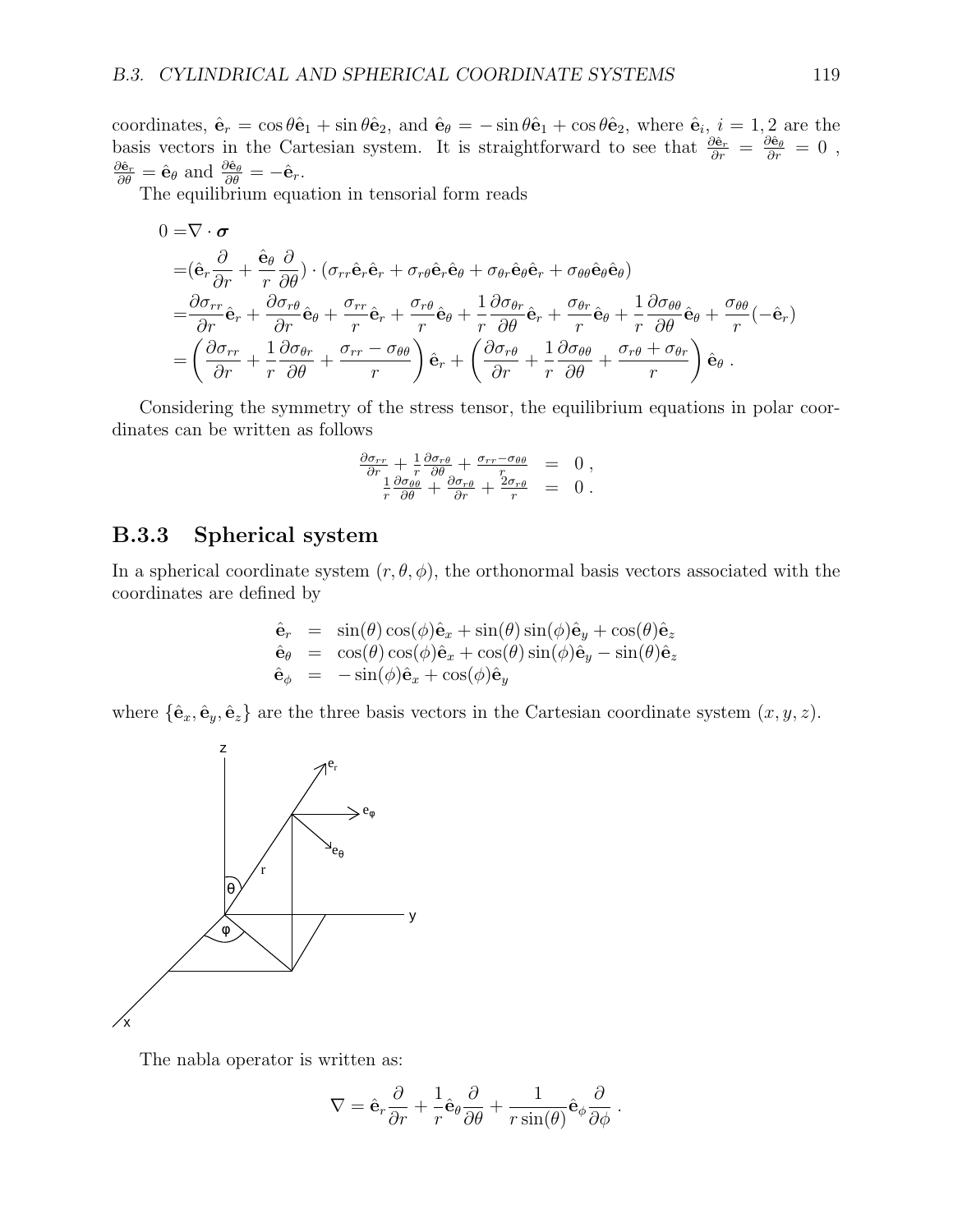coordinates,  $\hat{\mathbf{e}}_r = \cos \theta \hat{\mathbf{e}}_1 + \sin \theta \hat{\mathbf{e}}_2$ , and  $\hat{\mathbf{e}}_\theta = -\sin \theta \hat{\mathbf{e}}_1 + \cos \theta \hat{\mathbf{e}}_2$ , where  $\hat{\mathbf{e}}_i$ ,  $i = 1, 2$  are the basis vectors in the Cartesian system. It is straightforward to see that  $\frac{\partial \hat{\mathbf{e}}_r}{\partial r} = \frac{\partial \hat{\mathbf{e}}_\theta}{\partial r} = 0$ ,  $\frac{\partial \hat{\mathbf{e}}_r}{\partial \theta} = \hat{\mathbf{e}}_\theta$  and  $\frac{\partial \hat{\mathbf{e}}_\theta}{\partial \theta} = -\hat{\mathbf{e}}_r$ .

The equilibrium equation in tensorial form reads

$$
0 = \nabla \cdot \boldsymbol{\sigma}
$$
\n
$$
= (\hat{\mathbf{e}}_r \frac{\partial}{\partial r} + \hat{\mathbf{e}}_\theta \frac{\partial}{\partial \theta}) \cdot (\sigma_{rr} \hat{\mathbf{e}}_r \hat{\mathbf{e}}_r + \sigma_{r\theta} \hat{\mathbf{e}}_r \hat{\mathbf{e}}_\theta + \sigma_{\theta r} \hat{\mathbf{e}}_\theta \hat{\mathbf{e}}_r + \sigma_{\theta \theta} \hat{\mathbf{e}}_\theta \hat{\mathbf{e}}_\theta)
$$
\n
$$
= \frac{\partial \sigma_{rr}}{\partial r} \hat{\mathbf{e}}_r + \frac{\partial \sigma_{r\theta}}{\partial r} \hat{\mathbf{e}}_\theta + \frac{\sigma_{rr}}{r} \hat{\mathbf{e}}_r + \frac{\sigma_{r\theta}}{r} \hat{\mathbf{e}}_\theta + \frac{1}{r} \frac{\partial \sigma_{\theta r}}{\partial \theta} \hat{\mathbf{e}}_r + \frac{\sigma_{\theta r}}{r} \hat{\mathbf{e}}_\theta + \frac{1}{r} \frac{\partial \sigma_{\theta \theta}}{\partial \theta} \hat{\mathbf{e}}_\theta + \frac{\sigma_{\theta \theta}}{r} (-\hat{\mathbf{e}}_r)
$$
\n
$$
= \left(\frac{\partial \sigma_{rr}}{\partial r} + \frac{1}{r} \frac{\partial \sigma_{\theta r}}{\partial \theta} + \frac{\sigma_{rr} - \sigma_{\theta \theta}}{r}\right) \hat{\mathbf{e}}_r + \left(\frac{\partial \sigma_{r\theta}}{\partial r} + \frac{1}{r} \frac{\partial \sigma_{\theta \theta}}{\partial \theta} + \frac{\sigma_{r\theta} + \sigma_{\theta r}}{r}\right) \hat{\mathbf{e}}_\theta.
$$

Considering the symmetry of the stress tensor, the equilibrium equations in polar coordinates can be written as follows

$$
\frac{\partial \sigma_{rr}}{\partial r} + \frac{1}{r} \frac{\partial \sigma_{r\theta}}{\partial \theta} + \frac{\sigma_{rr} - \sigma_{\theta\theta}}{r} = 0, \n\frac{1}{r} \frac{\partial \sigma_{\theta\theta}}{\partial \theta} + \frac{\partial \sigma_{r\theta}}{\partial r} + \frac{2\sigma_{r\theta}}{r} = 0.
$$

#### B.3.3 Spherical system

In a spherical coordinate system  $(r, \theta, \phi)$ , the orthonormal basis vectors associated with the coordinates are defined by

$$
\begin{array}{rcl}\n\hat{\mathbf{e}}_r &=& \sin(\theta)\cos(\phi)\hat{\mathbf{e}}_x + \sin(\theta)\sin(\phi)\hat{\mathbf{e}}_y + \cos(\theta)\hat{\mathbf{e}}_z \\
\hat{\mathbf{e}}_\theta &=& \cos(\theta)\cos(\phi)\hat{\mathbf{e}}_x + \cos(\theta)\sin(\phi)\hat{\mathbf{e}}_y - \sin(\theta)\hat{\mathbf{e}}_z \\
\hat{\mathbf{e}}_\phi &=& -\sin(\phi)\hat{\mathbf{e}}_x + \cos(\phi)\hat{\mathbf{e}}_y\n\end{array}
$$

where  $\{\hat{\mathbf{e}}_x, \hat{\mathbf{e}}_y, \hat{\mathbf{e}}_z\}$  are the three basis vectors in the Cartesian coordinate system  $(x, y, z)$ .



The nabla operator is written as:

$$
\nabla = \hat{\mathbf{e}}_r \frac{\partial}{\partial r} + \frac{1}{r} \hat{\mathbf{e}}_\theta \frac{\partial}{\partial \theta} + \frac{1}{r \sin(\theta)} \hat{\mathbf{e}}_\phi \frac{\partial}{\partial \phi}.
$$